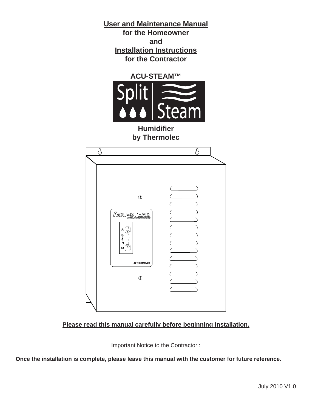

#### **Please read this manual carefully before beginning installation.**

Important Notice to the Contractor :

**Once the installation is complete, please leave this manual with the customer for future reference.**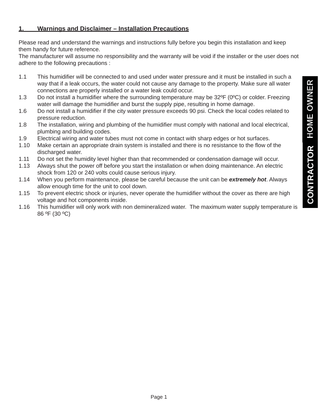#### **1. Warnings and Disclaimer – Installation Precautions**

Please read and understand the warnings and instructions fully before you begin this installation and keep them handy for future reference.

The manufacturer will assume no responsibility and the warranty will be void if the installer or the user does not adhere to the following precautions :

- 1.1 This humidifier will be connected to and used under water pressure and it must be installed in such a way that if a leak occurs, the water could not cause any damage to the property. Make sure all water connections are properly installed or a water leak could occur.
- 1.3 Do not install a humidifier where the surrounding temperature may be  $32^{\circ}F$  (0 $^{\circ}C$ ) or colder. Freezing water will damage the humidifier and burst the supply pipe, resulting in home damage.
- 1.6 Do not install a humidifier if the city water pressure exceeds 90 psi. Check the local codes related to pressure reduction.
- 1.8 The installation, wiring and plumbing of the humidifier must comply with national and local electrical, plumbing and building codes.
- 1.9 Electrical wiring and water tubes must not come in contact with sharp edges or hot surfaces.
- 1.10 Make certain an appropriate drain system is installed and there is no resistance to the flow of the discharged water.
- 1.11 Do not set the humidity level higher than that recommended or condensation damage will occur.
- 1.13 Always shut the power off before you start the installation or when doing maintenance. An electric shock from 120 or 240 volts could cause serious injury.
- 1.14 When you perform maintenance, please be careful because the unit can be *extremely hot*. Always allow enough time for the unit to cool down.
- 1.15 To prevent electric shock or injuries, never operate the humidifier without the cover as there are high voltage and hot components inside.
- 1.16 This humidifier will only work with non demineralized water. The maximum water supply temperature is 86 ºF (30 ºC)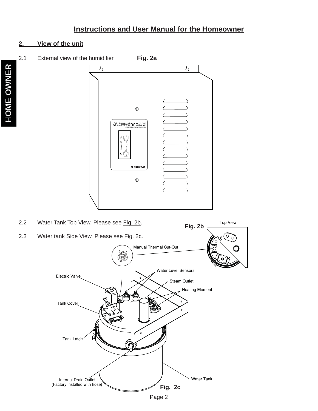# **Instructions and User Manual for the Homeowner**

### **2. View of the unit**



**HOME OWNER HOME OWNER**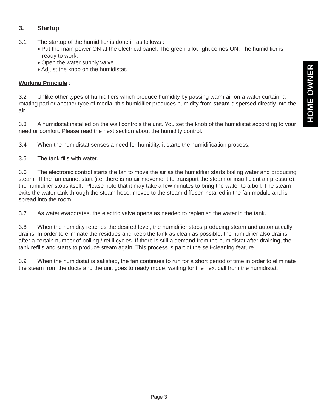#### **3. Startup**

- 3.1 The startup of the humidifier is done in as follows :
	- Put the main power ON at the electrical panel. The green pilot light comes ON. The humidifier is ready to work.
	- Open the water supply valve.
	- Adjust the knob on the humidistat.

#### **Working Principle** :

3.2 Unlike other types of humidifiers which produce humidity by passing warm air on a water curtain, a rotating pad or another type of media, this humidifier produces humidity from **steam** dispersed directly into the air.

3.3 A humidistat installed on the wall controls the unit. You set the knob of the humidistat according to your need or comfort. Please read the next section about the humidity control.

3.4 When the humidistat senses a need for humidity, it starts the humidification process.

3.5 The tank fills with water.

3.6 The electronic control starts the fan to move the air as the humidifier starts boiling water and producing steam. If the fan cannot start (i.e. there is no air movement to transport the steam or insufficient air pressure), the humidifier stops itself. Please note that it may take a few minutes to bring the water to a boil. The steam exits the water tank through the steam hose, moves to the steam diffuser installed in the fan module and is spread into the room.

3.7 As water evaporates, the electric valve opens as needed to replenish the water in the tank.

3.8 When the humidity reaches the desired level, the humidifier stops producing steam and automatically drains. In order to eliminate the residues and keep the tank as clean as possible, the humidifier also drains after a certain number of boiling / refill cycles. If there is still a demand from the humidistat after draining, the tank refills and starts to produce steam again. This process is part of the self-cleaning feature.

3.9 When the humidistat is satisfied, the fan continues to run for a short period of time in order to eliminate the steam from the ducts and the unit goes to ready mode, waiting for the next call from the humidistat.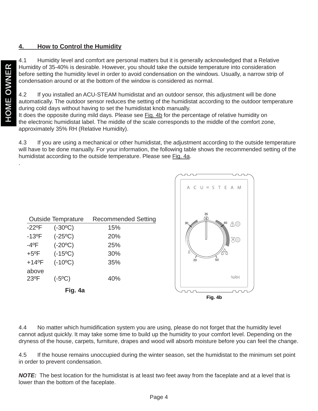#### **4. How to Control the Humidity**

4.1 Humidity level and comfort are personal matters but it is generally acknowledged that a Relative Humidity of 35-40% is desirable. However, you should take the outside temperature into consideration before setting the humidity level in order to avoid condensation on the windows. Usually, a narrow strip of condensation around or at the bottom of the window is considered as normal.

4.2 If you installed an ACU-STEAM humidistat and an outdoor sensor, this adjustment will be done automatically. The outdoor sensor reduces the setting of the humidistat according to the outdoor temperature during cold days without having to set the humidistat knob manually.

It does the opposite during mild days. Please see Fig. 4b for the percentage of relative humidity on the electronic humidistat label. The middle of the scale corresponds to the middle of the comfort zone, approximately 35% RH (Relative Humidity).

4.3 If you are using a mechanical or other humidistat, the adjustment according to the outside temperature will have to be done manually. For your information, the following table shows the recommended setting of the humidistat according to the outside temperature. Please see Fig. 4a.

|                      | <b>Outside Temprature</b> | <b>Recommended Setting</b> |
|----------------------|---------------------------|----------------------------|
| $-22$ <sup>o</sup> F | $(-30^{\circ}C)$          | 15%                        |
| $-13$ <sup>o</sup> F | $(-25°C)$                 | 20%                        |
| -4ºF                 | $(-20°C)$                 | 25%                        |
| $+5^{\circ}$ F       | $(-15^{\circ}C)$          | 30%                        |
| $+14$ <sup>o</sup> F | $(-10^{\circ}C)$          | 35%                        |
| above                |                           |                            |
| $23^{\circ}F$        | $(-5°C)$                  | 40%                        |
|                      | Fig. 4a                   |                            |



4.4 No matter which humidification system you are using, please do not forget that the humidity level cannot adjust quickly. It may take some time to build up the humidity to your comfort level. Depending on the dryness of the house, carpets, furniture, drapes and wood will absorb moisture before you can feel the change.

4.5 If the house remains unoccupied during the winter season, set the humidistat to the minimum set point in order to prevent condensation.

*NOTE:* The best location for the humidistat is at least two feet away from the faceplate and at a level that is lower than the bottom of the faceplate.

.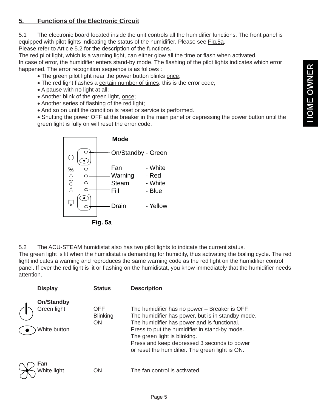#### **5. Functions of the Electronic Circuit**

5.1 The electronic board located inside the unit controls all the humidifier functions. The front panel is equipped with pilot lights indicating the status of the humidifier. Please see Fig.5a. Please refer to Article 5.2 for the description of the functions.

The red pilot light, which is a warning light, can either glow all the time or flash when activated.

In case of error, the humidifier enters stand-by mode. The flashing of the pilot lights indicates which error happened. The error recognition sequence is as follows :

- The green pilot light near the power button blinks once;
- The red light flashes a certain number of times, this is the error code;
- A pause with no light at all;
- Another blink of the green light, once;
- Another series of flashing of the red light;
- And so on until the condition is reset or service is performed.

 Shutting the power OFF at the breaker in the main panel or depressing the power button until the green light is fully on will reset the error code.



5.2 The ACU-STEAM humidistat also has two pilot lights to indicate the current status. The green light is lit when the humidistat is demanding for humidity, thus activating the boiling cycle. The red

light indicates a warning and reproduces the same warning code as the red light on the humidifier control panel. If ever the red light is lit or flashing on the humidistat, you know immediately that the humidifier needs attention.

| <b>Display</b>                                   | <b>Status</b>                       | <b>Description</b>                                                                                                                                                                                                                                                                                                                   |
|--------------------------------------------------|-------------------------------------|--------------------------------------------------------------------------------------------------------------------------------------------------------------------------------------------------------------------------------------------------------------------------------------------------------------------------------------|
| <b>On/Standby</b><br>Green light<br>White button | OFF<br><b>Blinking</b><br><b>ON</b> | The humidifier has no power - Breaker is OFF.<br>The humidifier has power, but is in standby mode.<br>The humidifier has power and is functional.<br>Press to put the humidifier in stand-by mode.<br>The green light is blinking.<br>Press and keep depressed 3 seconds to power<br>or reset the humidifier. The green light is ON. |
| Fan<br>White light                               | ΟN                                  | The fan control is activated.                                                                                                                                                                                                                                                                                                        |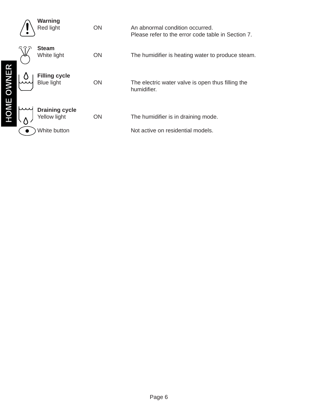|                  | <b>Warning</b><br>Red light               | ON        | An abnormal condition occurred.<br>Please refer to the error code table in Section 7. |
|------------------|-------------------------------------------|-----------|---------------------------------------------------------------------------------------|
|                  | <b>Steam</b><br>White light               | <b>ON</b> | The humidifier is heating water to produce steam.                                     |
| OWNER            | <b>Filling cycle</b><br><b>Blue light</b> | ON        | The electric water valve is open thus filling the<br>humidifier.                      |
| HOME <sup></sup> | <b>Draining cycle</b><br>Yellow light     | ON        | The humidifier is in draining mode.                                                   |
|                  | White button                              |           | Not active on residential models.                                                     |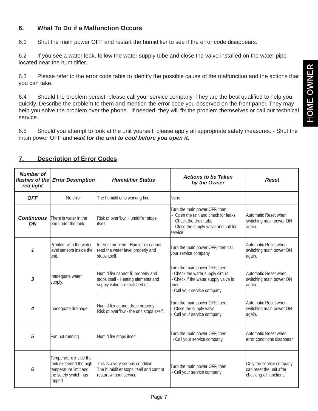#### **6. What To Do if a Malfunction Occurs**

6.1 Shut the main power OFF and restart the humidifier to see if the error code disappears.

6.2 If you see a water leak, follow the water supply tube and close the valve installed on the water pipe located near the humidifier.

6.3 Please refer to the error code table to identify the possible cause of the malfunction and the actions that you can take.

6.4 Should the problem persist, please call your service company. They are the best qualified to help you quickly. Describe the problem to them and mention the error code you observed on the front panel. They may help you solve the problem over the phone. If needed, they will fix the problem themselves or call our technical service.

6.5 Should you attempt to look at the unit yourself, please apply all appropriate safety measures. - Shut the main power OFF and *wait for the unit to cool before you open it*.

| <b>Number of</b><br>red light  | flashes of the Error Description                                                                               | <b>Humidifier Status</b>                                                                                     | <b>Actions to be Taken</b><br>by the Owner                                                                                                       | <b>Reset</b>                                                                    |
|--------------------------------|----------------------------------------------------------------------------------------------------------------|--------------------------------------------------------------------------------------------------------------|--------------------------------------------------------------------------------------------------------------------------------------------------|---------------------------------------------------------------------------------|
| <b>OFF</b>                     | No error                                                                                                       | The humidifier is working fine                                                                               | <b>None</b>                                                                                                                                      |                                                                                 |
| <b>Continuous</b><br><b>ON</b> | There is water in the<br>pan under the tank.                                                                   | Risk of overflow. Humidifier stops<br>litself.                                                               | Turn the main power OFF, then<br>Open the unit and check for leaks<br>Check the drain tube<br>Close the supply valve and call for<br>service     | Automatic Reset when<br>switching main power ON<br>again.                       |
| 1                              | Problem with the water<br>level sensors inside the<br>lunit.                                                   | Internal problem - Humidifier cannot<br>read the water level properly and<br>stops itself.                   | Turn the main power OFF, then call<br>your service company                                                                                       | Automatic Reset when<br>switching main power ON<br>again.                       |
| 3                              | Inadequate water<br>supply.                                                                                    | Humidifier cannot fill properly and<br>stops itself - Heating elements and<br>supply valve are switched off. | Turn the main power OFF, then<br>- Check the water supply circuit<br>- Check if the water supply valve is<br>lopen.<br>Call your service company | Automatic Reset when<br>switching main power ON<br>again.                       |
| $\boldsymbol{4}$               | Inadequate drainage.                                                                                           | Humidifier cannot drain properly -<br>Risk of overflow - the unit stops itself.                              | Turn the main power OFF, then<br>Close the supply valve<br>Call your service company                                                             | Automatic Reset when<br>switching main power ON<br>again.                       |
| 5                              | Fan not running.                                                                                               | Humidifier stops itself.                                                                                     | Turn the main power OFF, then<br>- Call your service company                                                                                     | Automatic Reset when<br>error conditions disappear.                             |
| 6                              | Temperature inside the<br>tank exceeded the high<br>temperature limit and<br>the safety switch has<br>tripped. | This is a very serious condition.<br>The humidifier stops itself and cannot<br>restart without service.      | Turn the main power OFF, then<br>- Call your service company                                                                                     | Only the service company<br>can reset the unit after<br>checking all functions. |

#### **7. Description of Error Codes**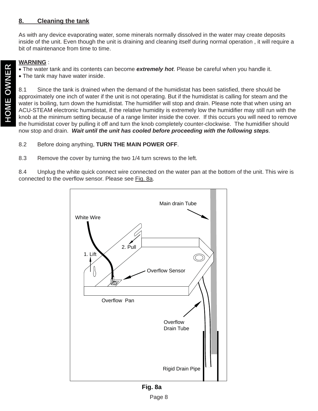#### **8. Cleaning the tank**

As with any device evaporating water, some minerals normally dissolved in the water may create deposits inside of the unit. Even though the unit is draining and cleaning itself during normal operation , it will require a bit of maintenance from time to time.

#### **WARNING** :

 The water tank and its contents can become *extremely hot*. Please be careful when you handle it. The tank may have water inside.

8.1 Since the tank is drained when the demand of the humidistat has been satisfied, there should be approximately one inch of water if the unit is not operating. But if the humidistat is calling for steam and the water is boiling, turn down the humidistat. The humidifier will stop and drain. Please note that when using an ACU-STEAM electronic humidistat, if the relative humidity is extremely low the humidifier may still run with the knob at the minimum setting because of a range limiter inside the cover. If this occurs you will need to remove the humidistat cover by pulling it off and turn the knob completely counter-clockwise. The humidifier should now stop and drain. *Wait until the unit has cooled before proceeding with the following steps*.

#### 8.2 Before doing anything, **TURN THE MAIN POWER OFF**.

8.3 Remove the cover by turning the two 1/4 turn screws to the left.

8.4 Unplug the white quick connect wire connected on the water pan at the bottom of the unit. This wire is connected to the overflow sensor. Please see Fig. 8a.





Page 8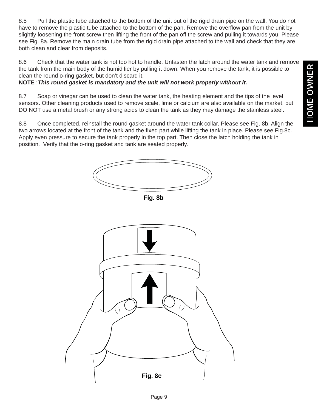8.5 Pull the plastic tube attached to the bottom of the unit out of the rigid drain pipe on the wall. You do not have to remove the plastic tube attached to the bottom of the pan. Remove the overflow pan from the unit by slightly loosening the front screw then lifting the front of the pan off the screw and pulling it towards you. Please see Fig. 8a. Remove the main drain tube from the rigid drain pipe attached to the wall and check that they are both clean and clear from deposits.

8.6 Check that the water tank is not too hot to handle. Unfasten the latch around the water tank and remove the tank from the main body of the humidifier by pulling it down. When you remove the tank, it is possible to clean the round o-ring gasket, but don't discard it.

#### **NOTE** :*This round gasket is mandatory and the unit will not work properly without it.*

8.7 Soap or vinegar can be used to clean the water tank, the heating element and the tips of the level sensors. Other cleaning products used to remove scale, lime or calcium are also available on the market, but DO NOT use a metal brush or any strong acids to clean the tank as they may damage the stainless steel.

8.8 Once completed, reinstall the round gasket around the water tank collar. Please see Fig. 8b. Align the two arrows located at the front of the tank and the fixed part while lifting the tank in place. Please see Fig.8c. Apply even pressure to secure the tank properly in the top part. Then close the latch holding the tank in position. Verify that the o-ring gasket and tank are seated properly.

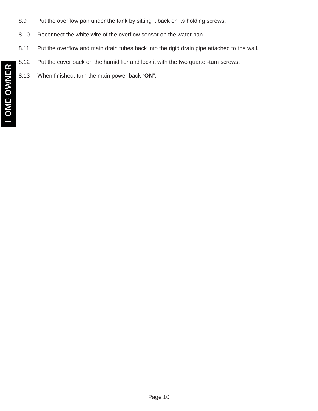- 8.9 Put the overflow pan under the tank by sitting it back on its holding screws.
- 8.10 Reconnect the white wire of the overflow sensor on the water pan.
- 8.11 Put the overflow and main drain tubes back into the rigid drain pipe attached to the wall.
- 8.12 Put the cover back on the humidifier and lock it with the two quarter-turn screws.
- 8.13 When finished, turn the main power back "ON".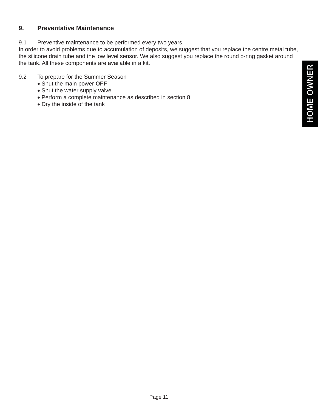#### **9. Preventative Maintenance**

9.1 Preventive maintenance to be performed every two years.

In order to avoid problems due to accumulation of deposits, we suggest that you replace the centre metal tube, the silicone drain tube and the low level sensor. We also suggest you replace the round o-ring gasket around the tank. All these components are available in a kit.

#### 9.2 To prepare for the Summer Season

- Shut the main power **OFF**
- Shut the water supply valve
- Perform a complete maintenance as described in section 8
- Dry the inside of the tank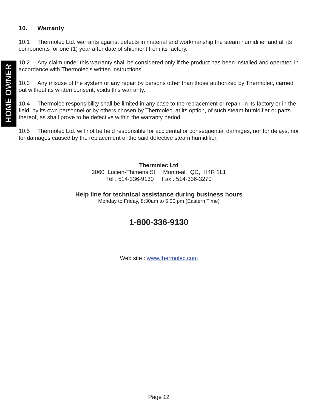#### **10. Warranty**

10.1 Thermolec Ltd. warrants against defects in material and workmanship the steam humidifier and all its components for one (1) year after date of shipment from its factory.

10.2 Any claim under this warranty shall be considered only if the product has been installed and operated in accordance with Thermolec's written instructions.

10.3 Any misuse of the system or any repair by persons other than those authorized by Thermolec, carried out without its written consent, voids this warranty.

10.4 Thermolec responsibility shall be limited in any case to the replacement or repair, in its factory or in the field, by its own personnel or by others chosen by Thermolec, at its option, of such steam humidifier or parts thereof, as shall prove to be defective within the warranty period.

10.5 Thermolec Ltd. will not be held responsible for accidental or consequential damages, nor for delays, nor for damages caused by the replacement of the said defective steam humidifier.

> **Thermolec Ltd** 2060 Lucien-Thimens St. Montreal, QC, H4R 1L1 Tel : 514-336-9130 Fax : 514-336-3270

**Help line for technical assistance during business hours**

Monday to Friday, 8:30am to 5:00 pm (Eastern Time)

# **1-800-336-9130**

Web site : www.thermolec.com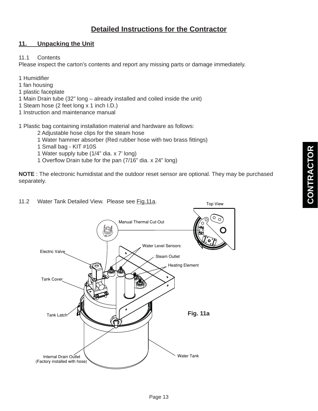# **Detailed Instructions for the Contractor**

#### **11. Unpacking the Unit**

#### 11.1 Contents

Please inspect the carton's contents and report any missing parts or damage immediately.

- 1 Humidifier
- 1 fan housing
- 1 plastic faceplate
- 1 Main Drain tube (32" long already installed and coiled inside the unit)
- 1 Steam hose (2 feet long x 1 inch I.D.)
- 1 Instruction and maintenance manual

1 Plastic bag containing installation material and hardware as follows:

- 2 Adjustable hose clips for the steam hose
- 1 Water hammer absorber (Red rubber hose with two brass fittings)
- 1 Small bag KIT #10S
- 1 Water supply tube (1/4" dia. x 7' long)
- 1 Overflow Drain tube for the pan (7/16" dia. x 24" long)

**NOTE** : The electronic humidistat and the outdoor reset sensor are optional. They may be purchased separately.

11.2 Water Tank Detailed View. Please see Fig.11a.

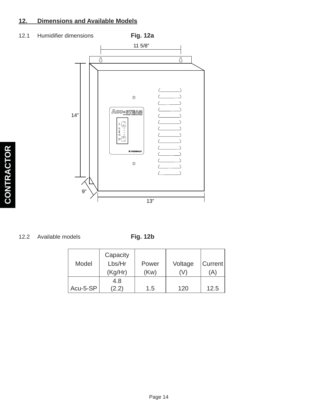### **12. Dimensions and Available Models**



# 12.2 Available models **Fig. 12b**

| Model    | Capacity<br>Lbs/Hr<br>(Kg/Hr) | Power<br>(Kw) | Voltage<br>v | Current<br>(A) |
|----------|-------------------------------|---------------|--------------|----------------|
| Acu-5-SP | 4.8<br>(2.2)                  | 1.5           | 120          | 12.5           |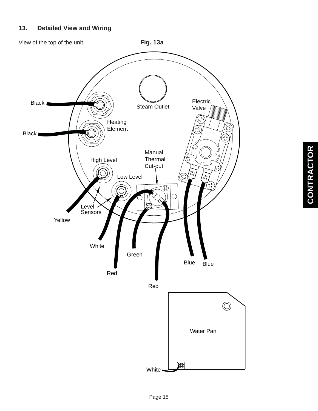#### **13. Detailed View and Wiring**

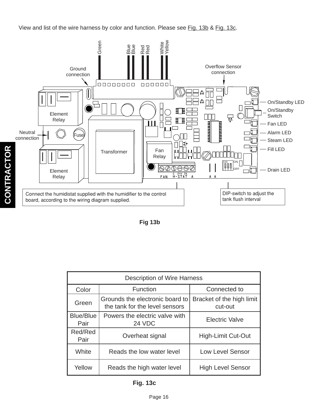View and list of the wire harness by color and function. Please see Fig. 13b & Fig. 13c.



**Fig 13b**

|                          | <b>Description of Wire Harness</b>                                |                                      |
|--------------------------|-------------------------------------------------------------------|--------------------------------------|
| Color                    | <b>Function</b>                                                   | Connected to                         |
| Green                    | Grounds the electronic board to<br>the tank for the level sensors | Bracket of the high limit<br>cut-out |
| <b>Blue/Blue</b><br>Pair | Powers the electric valve with<br>24 VDC                          | <b>Electric Valve</b>                |
| Red/Red<br>Pair          | Overheat signal                                                   | High-Limit Cut-Out                   |
| White                    | Reads the low water level                                         | <b>Low Level Sensor</b>              |
| Yellow                   | Reads the high water level                                        | <b>High Level Sensor</b>             |

**Fig. 13c**

Page 16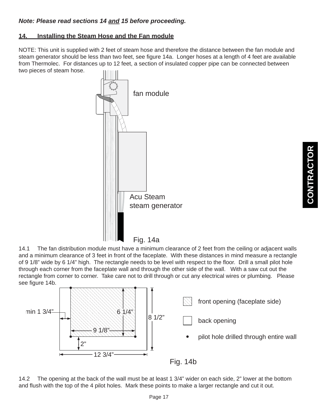#### **14. Installing the Steam Hose and the Fan module**

NOTE: This unit is supplied with 2 feet of steam hose and therefore the distance between the fan module and steam generator should be less than two feet, see figure 14a. Longer hoses at a length of 4 feet are available from Thermolec. For distances up to 12 feet, a section of insulated copper pipe can be connected between two pieces of steam hose.



14.1 The fan distribution module must have a minimum clearance of 2 feet from the ceiling or adjacent walls and a minimum clearance of 3 feet in front of the faceplate. With these distances in mind measure a rectangle of 9 1/8" wide by 6 1/4" high. The rectangle needs to be level with respect to the floor. Drill a small pilot hole through each corner from the faceplate wall and through the other side of the wall. With a saw cut out the rectangle from corner to corner. Take care not to drill through or cut any electrical wires or plumbing. Please see figure 14b.



14.2 The opening at the back of the wall must be at least 1 3/4" wider on each side, 2" lower at the bottom and flush with the top of the 4 pilot holes. Mark these points to make a larger rectangle and cut it out.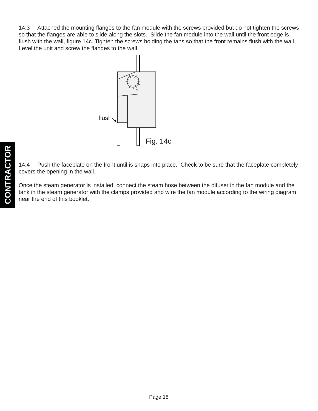14.3 Attached the mounting flanges to the fan module with the screws provided but do not tighten the screws so that the flanges are able to slide along the slots. Slide the fan module into the wall until the front edge is flush with the wall, figure 14c. Tighten the screws holding the tabs so that the front remains flush with the wall. Level the unit and screw the flanges to the wall.



**CONTRACTOR CONTRACTOR**

14.4 Push the faceplate on the front until is snaps into place. Check to be sure that the faceplate completely covers the opening in the wall.

Once the steam generator is installed, connect the steam hose between the difuser in the fan module and the tank in the steam generator with the clamps provided and wire the fan module according to the wiring diagram near the end of this booklet.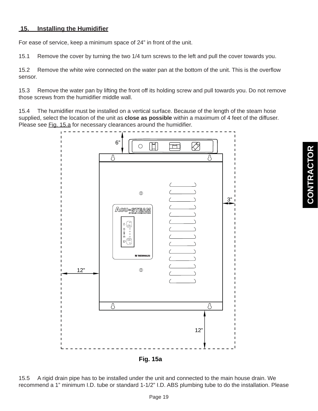#### **15.** Installing the Humidifier

For ease of service, keep a minimum space of 24" in front of the unit.

15.1 Remove the cover by turning the two 1/4 turn screws to the left and pull the cover towards you.

15.2 Remove the white wire connected on the water pan at the bottom of the unit. This is the overflow sensor.

15.3 Remove the water pan by lifting the front off its holding screw and pull towards you. Do not remove those screws from the humidifier middle wall.

15.4 The humidifier must be installed on a vertical surface. Because of the length of the steam hose supplied, select the location of the unit as **close as possible** within a maximum of 4 feet of the diffuser. Please see Fig. 15.a for necessary clearances around the humidifier.



15.5 A rigid drain pipe has to be installed under the unit and connected to the main house drain. We recommend a 1" minimum I.D. tube or standard 1-1/2" I.D. ABS plumbing tube to do the installation. Please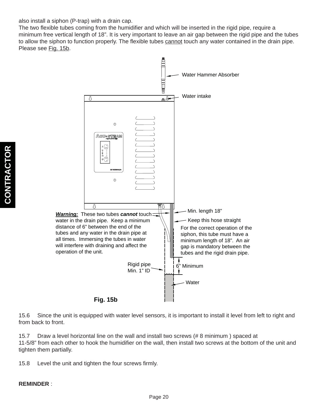also install a siphon (P-trap) with a drain cap.

The two flexible tubes coming from the humidifier and which will be inserted in the rigid pipe, require a minimum free vertical length of 18". It is very important to leave an air gap between the rigid pipe and the tubes to allow the siphon to function properly. The flexible tubes cannot touch any water contained in the drain pipe. Please see Fig. 15b.



15.6 Since the unit is equipped with water level sensors, it is important to install it level from left to right and from back to front.

15.7 Draw a level horizontal line on the wall and install two screws (# 8 minimum ) spaced at 11-5/8" from each other to hook the humidifier on the wall, then install two screws at the bottom of the unit and tighten them partially.

15.8 Level the unit and tighten the four screws firmly.

#### **REMINDER** :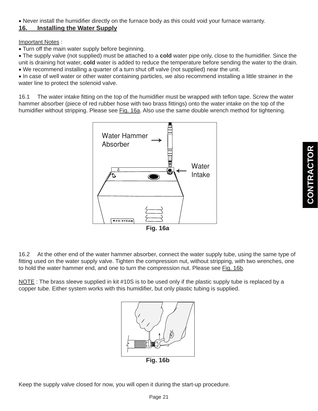• Never install the humidifier directly on the furnace body as this could void your furnace warranty.

#### **16. Installing the Water Supply**

Important Notes :

Turn off the main water supply before beginning.

• The supply valve (not supplied) must be attached to a **cold** water pipe only, close to the humidifier. Since the unit is draining hot water, **cold** water is added to reduce the temperature before sending the water to the drain. We recommend installing a quarter of a turn shut off valve (not supplied) near the unit.

• In case of well water or other water containing particles, we also recommend installing a little strainer in the water line to protect the solenoid valve.

16.1 The water intake fitting on the top of the humidifier must be wrapped with teflon tape. Screw the water hammer absorber (piece of red rubber hose with two brass fittings) onto the water intake on the top of the humidifier without stripping. Please see Fig. 16a. Also use the same double wrench method for tightening.



16.2 At the other end of the water hammer absorber, connect the water supply tube, using the same type of fitting used on the water supply valve. Tighten the compression nut, without stripping, with two wrenches, one to hold the water hammer end, and one to turn the compression nut. Please see Fig. 16b.

NOTE : The brass sleeve supplied in kit #10S is to be used only if the plastic supply tube is replaced by a copper tube. Either system works with this humidifier, but only plastic tubing is supplied.



Keep the supply valve closed for now, you will open it during the start-up procedure.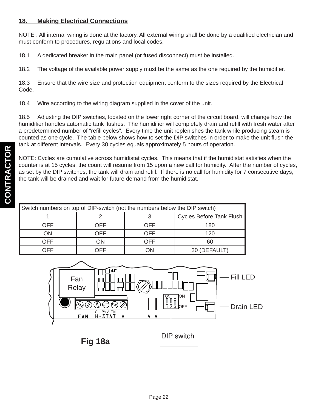#### **18. Making Electrical Connections**

NOTE : All internal wiring is done at the factory. All external wiring shall be done by a qualified electrician and must conform to procedures, regulations and local codes.

18.1 A dedicated breaker in the main panel (or fused disconnect) must be installed.

18.2 The voltage of the available power supply must be the same as the one required by the humidifier.

18.3 Ensure that the wire size and protection equipment conform to the sizes required by the Electrical Code.

18.4 Wire according to the wiring diagram supplied in the cover of the unit.

18.5 Adjusting the DIP switches, located on the lower right corner of the circuit board, will change how the humidifier handles automatic tank flushes. The humidifier will completely drain and refill with fresh water after a predetermined number of "refill cycles". Every time the unit replenishes the tank while producing steam is counted as one cycle. The table below shows how to set the DIP switches in order to make the unit flush the tank at different intervals. Every 30 cycles equals approximately 5 hours of operation.

NOTE: Cycles are cumulative across humidistat cycles. This means that if the humidistat satisfies when the counter is at 15 cycles, the count will resume from 15 upon a new call for humidity. After the number of cycles, as set by the DIP switches, the tank will drain and refill. If there is no call for humidity for 7 consecutive days, the tank will be drained and wait for future demand from the humidistat.

| Switch numbers on top of DIP-switch (not the numbers below the DIP switch) |      |            |                          |
|----------------------------------------------------------------------------|------|------------|--------------------------|
|                                                                            |      |            | Cycles Before Tank Flush |
| OFF                                                                        | OFF  | <b>OFF</b> | 180                      |
| OΝ                                                                         | OFF. | OFF        | 120                      |
| OFF                                                                        | OΝ   | OFF        | 60                       |
| 7FF                                                                        | 7FF  | OΝ         | 30 (DEFAULT)             |

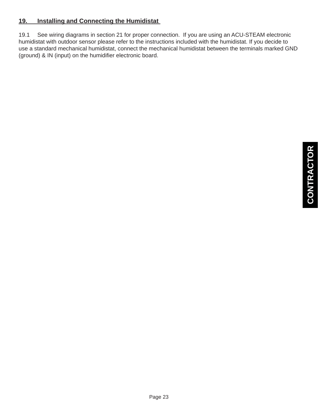#### **19. Installing and Connecting the Humidistat**

19.1 See wiring diagrams in section 21 for proper connection. If you are using an ACU-STEAM electronic humidistat with outdoor sensor please refer to the instructions included with the humidistat. If you decide to use a standard mechanical humidistat, connect the mechanical humidistat between the terminals marked GND (ground) & IN (input) on the humidifier electronic board.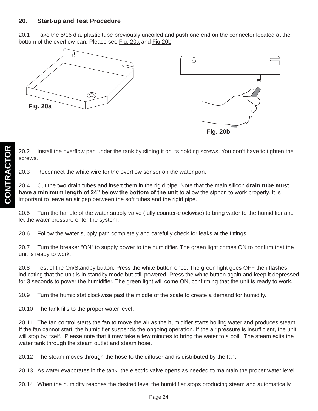#### **20. Start-up and Test Procedure**

20.1 Take the 5/16 dia. plastic tube previously uncoiled and push one end on the connector located at the bottom of the overflow pan. Please see Fig. 20a and Fig. 20b.



20.2 Install the overflow pan under the tank by sliding it on its holding screws. You don't have to tighten the screws.

20.3 Reconnect the white wire for the overflow sensor on the water pan.

20.4 Cut the two drain tubes and insert them in the rigid pipe. Note that the main silicon **drain tube must have a minimum length of 24" below the bottom of the unit** to allow the siphon to work properly. It is important to leave an air gap between the soft tubes and the rigid pipe.

20.5 Turn the handle of the water supply valve (fully counter-clockwise) to bring water to the humidifier and let the water pressure enter the system.

20.6 Follow the water supply path completely and carefully check for leaks at the fittings.

20.7 Turn the breaker "ON" to supply power to the humidifier. The green light comes ON to confirm that the unit is ready to work.

20.8 Test of the On/Standby button. Press the white button once. The green light goes OFF then flashes, indicating that the unit is in standby mode but still powered. Press the white button again and keep it depressed for 3 seconds to power the humidifier. The green light will come ON, confirming that the unit is ready to work.

20.9 Turn the humidistat clockwise past the middle of the scale to create a demand for humidity.

20.10 The tank fills to the proper water level.

20.11 The fan control starts the fan to move the air as the humidifier starts boiling water and produces steam. If the fan cannot start, the humidifier suspends the ongoing operation. If the air pressure is insufficient, the unit will stop by itself. Please note that it may take a few minutes to bring the water to a boil. The steam exits the water tank through the steam outlet and steam hose.

20.12 The steam moves through the hose to the diffuser and is distributed by the fan.

20.13 As water evaporates in the tank, the electric valve opens as needed to maintain the proper water level.

20.14 When the humidity reaches the desired level the humidifier stops producing steam and automatically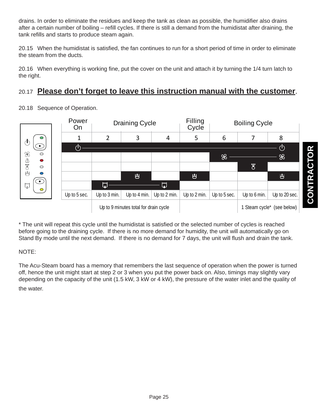drains. In order to eliminate the residues and keep the tank as clean as possible, the humidifier also drains after a certain number of boiling – refill cycles. If there is still a demand from the humidistat after draining, the tank refills and starts to produce steam again.

20.15 When the humidistat is satisfied, the fan continues to run for a short period of time in order to eliminate the steam from the ducts.

20.16 When everything is working fine, put the cover on the unit and attach it by turning the 1/4 turn latch to the right.

# 20.17 **Please don't forget to leave this instruction manual with the customer**.



20.18 Sequence of Operation.

\* The unit will repeat this cycle until the humidistat is satisfied or the selected number of cycles is reached before going to the draining cycle. If there is no more demand for humidity, the unit will automatically go on Stand By mode until the next demand. If there is no demand for 7 days, the unit will flush and drain the tank.

#### NOTE:

The Acu-Steam board has a memory that remembers the last sequence of operation when the power is turned off, hence the unit might start at step 2 or 3 when you put the power back on. Also, timings may slightly vary depending on the capacity of the unit (1.5 kW, 3 kW or 4 kW), the pressure of the water inlet and the quality of the water.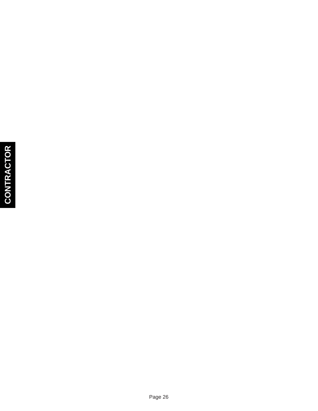# CONTRACTOR **CONTRACTOR**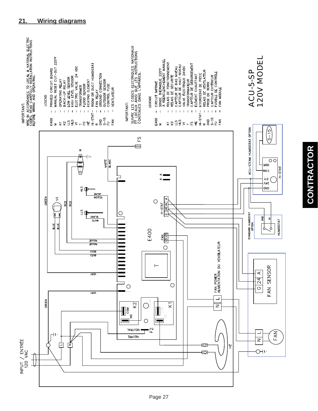

**CONTRACTOR**

**CONTRACTOR**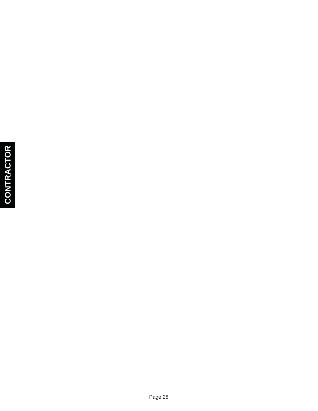# CONTRACTOR **CONTRACTOR**